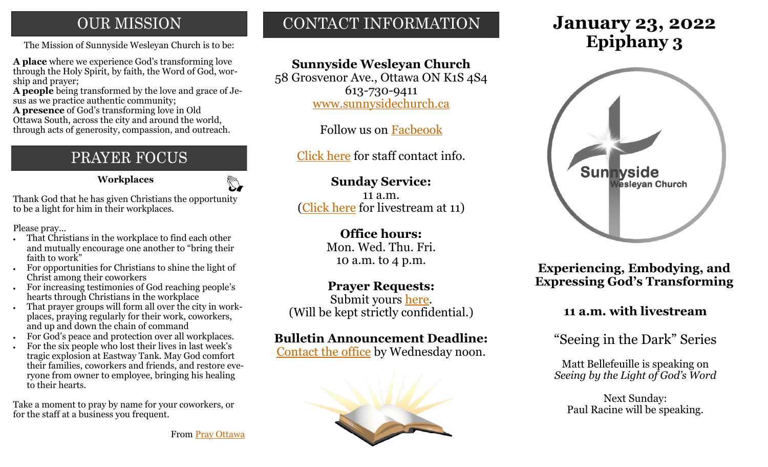### **OUR MISSION**

The Mission of Sunnyside Wesleyan Church is to be: **Epiphany 3** 

**A place** where we experience God's transforming love through the Holy Spirit, by faith, the Word of God, worship and prayer;

**A people** being transformed by the love and grace of Jesus as we practice authentic community;

**A presence** of God's transforming love in Old Ottawa South, across the city and around the world, through acts of generosity, compassion, and outreach.

## PRAYER FOCUS

**Workplaces**

Thank God that he has given Christians the opportunity to be a light for him in their workplaces.

Please pray...

- That Christians in the workplace to find each other and mutually encourage one another to "bring their faith to work"
- For opportunities for Christians to shine the light of Christ among their coworkers
- For increasing testimonies of God reaching people's hearts through Christians in the workplace
- That prayer groups will form all over the city in workplaces, praying regularly for their work, coworkers, and up and down the chain of command
- For God's peace and protection over all workplaces.
- For the six people who lost their lives in last week's tragic explosion at Eastway Tank. May God comfort their families, coworkers and friends, and restore everyone from owner to employee, bringing his healing to their hearts.

Take a moment to pray by name for your coworkers, or for the staff at a business you frequent.

CONTACT INFORMATION

### **Sunnyside Wesleyan Church**

58 Grosvenor Ave., Ottawa ON K1S 4S4 613-730-9411 [www.sunnysidechurch.ca](http://www.sunnysidechurch.ca)

Follow us on [Facbeook](http://www.facebook.com/sunnysidewesleyanchurch)

[Click here](http://www.sunnysidechurch.ca/about-sunnyside/staff/) for staff contact info.

### **Sunday Service:**

11 a.m. ([Click here](https://youtube.com/channel/UCYfl9Qy37Az7fqqFQpDEwjg) for livestream at 11)

### **Office hours:**

Mon. Wed. Thu. Fri. 10 a.m. to 4 p.m.

### **Prayer Requests:**

Submit yours [here.](mailto:prayer@sunnysidechurch.ca) (Will be kept strictly confidential.)

### **Bulletin Announcement Deadline:**

[Contact the office](mailto:office@sunnysidechurch.ca) by Wednesday noon.



# **January 23, 2022**



**Experiencing, Embodying, and Expressing God's Transforming** 

### **11 a.m. with livestream**

"Seeing in the Dark" Series

Matt Bellefeuille is speaking on *Seeing by the Light of God's Word*

Next Sunday: Paul Racine will be speaking.

From [Pray Ottawa](https://prayottawa.ca/)